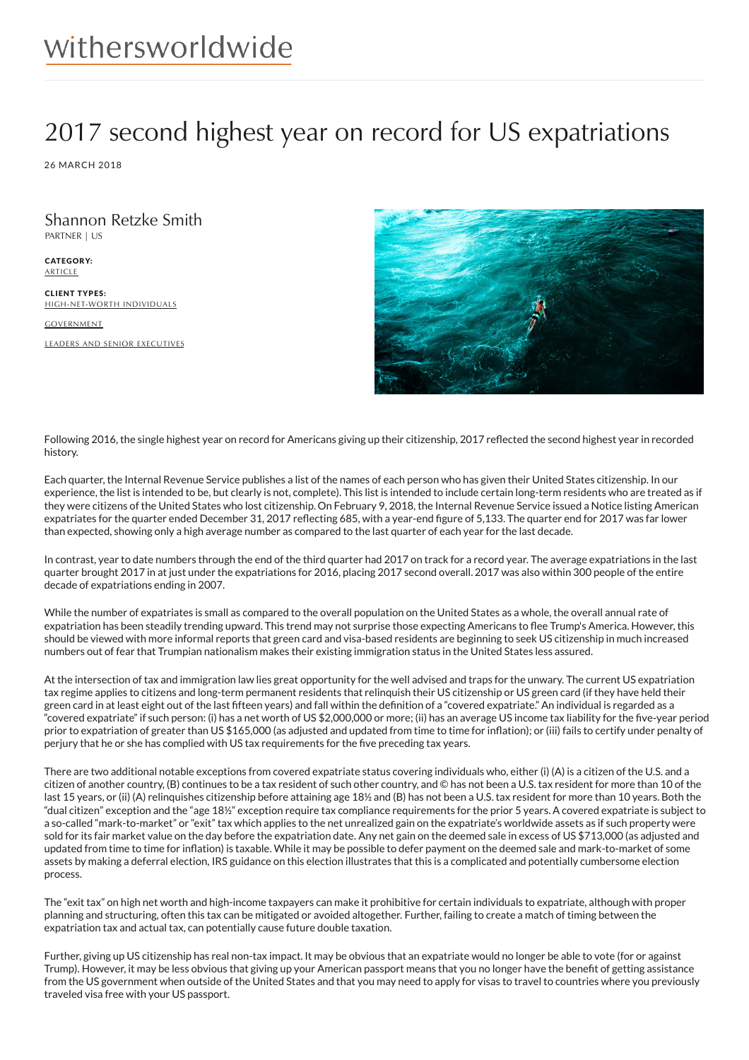## 2017 second highest year on record for US expatriations

26 MARCH 2018

Shannon Retzke Smith PARTNER | US

CATEGORY: ARTICLE

CLIENT TYPES: HIGH-NET-WORTH INDIVIDUALS

**GOVERNMENT** 

LEADERS AND SENIOR EXECUTIVES



Following 2016, the single highest year on record for Americans giving up their citizenship, 2017 reflected the second highest year in recorded history.

Each quarter, the Internal Revenue Service publishes a list of the names of each person who has given their United States citizenship. In our experience, the list is intended to be, but clearly is not, complete). This list is intended to include certain long-term residents who are treated as if they were citizens of the United States who lost citizenship. On February 9, 2018, the Internal Revenue Service issued a Notice listing American expatriates for the quarter ended December 31, 2017 reflecting 685, with a year-end figure of 5,133. The quarter end for 2017 was far lower than expected, showing only a high average number as compared to the last quarter of each year for the last decade.

In contrast, year to date numbers through the end of the third quarter had 2017 on track for a record year. The average expatriations in the last quarter brought 2017 in at just under the expatriations for 2016, placing 2017 second overall. 2017 was also within 300 people of the entire decade of expatriations ending in 2007.

While the number of expatriates is small as compared to the overall population on the United States as a whole, the overall annual rate of expatriation has been steadily trending upward. This trend may not surprise those expecting Americans to flee Trump's America. However, this should be viewed with more informal reports that green card and visa-based residents are beginning to seek US citizenship in much increased numbers out of fear that Trumpian nationalism makes their existing immigration status in the United States less assured.

At the intersection of tax and immigration law lies great opportunity for the well advised and traps for the unwary. The current US expatriation tax regime applies to citizens and long-term permanent residents that relinquish their US citizenship or US green card (if they have held their green card in at least eight out of the last fifteen years) and fall within the definition of a "covered expatriate." An individual is regarded as a "covered expatriate" if such person: (i) has a net worth of US \$2,000,000 or more; (ii) has an average US income tax liability for the 6ve-year period prior to expatriation of greater than US \$165,000 (as adjusted and updated from time to time for inflation); or (iii) fails to certify under penalty of perjury that he or she has complied with US tax requirements for the 6ve preceding tax years.

There are two additional notable exceptions from covered expatriate status covering individuals who, either (i) (A) is a citizen of the U.S. and a citizen of another country, (B) continues to be a tax resident of such other country, and © has not been a U.S. tax resident for more than 10 of the last 15 years, or (ii) (A) relinquishes citizenship before attaining age 18½ and (B) has not been a U.S. tax resident for more than 10 years. Both the "dual citizen" exception and the "age 18½" exception require tax compliance requirements for the prior 5 years. A covered expatriate is subject to a so-called "mark-to-market" or "exit" tax which applies to the net unrealized gain on the expatriate's worldwide assets as if such property were sold for its fair market value on the day before the expatriation date. Any net gain on the deemed sale in excess of US \$713,000 (as adjusted and updated from time to time for inflation) is taxable. While it may be possible to defer payment on the deemed sale and mark-to-market of some assets by making a deferral election, IRS guidance on this election illustrates that this is a complicated and potentially cumbersome election process.

The "exit tax" on high net worth and high-income taxpayers can make it prohibitive for certain individuals to expatriate, although with proper planning and structuring, often this tax can be mitigated or avoided altogether. Further, failing to create a match of timing between the expatriation tax and actual tax, can potentially cause future double taxation.

Further, giving up US citizenship has real non-tax impact. It may be obvious that an expatriate would no longer be able to vote (for or against Trump). However, it may be less obvious that giving up your American passport means that you no longer have the bene6t of getting assistance from the US government when outside of the United States and that you may need to apply for visas to travel to countries where you previously traveled visa free with your US passport.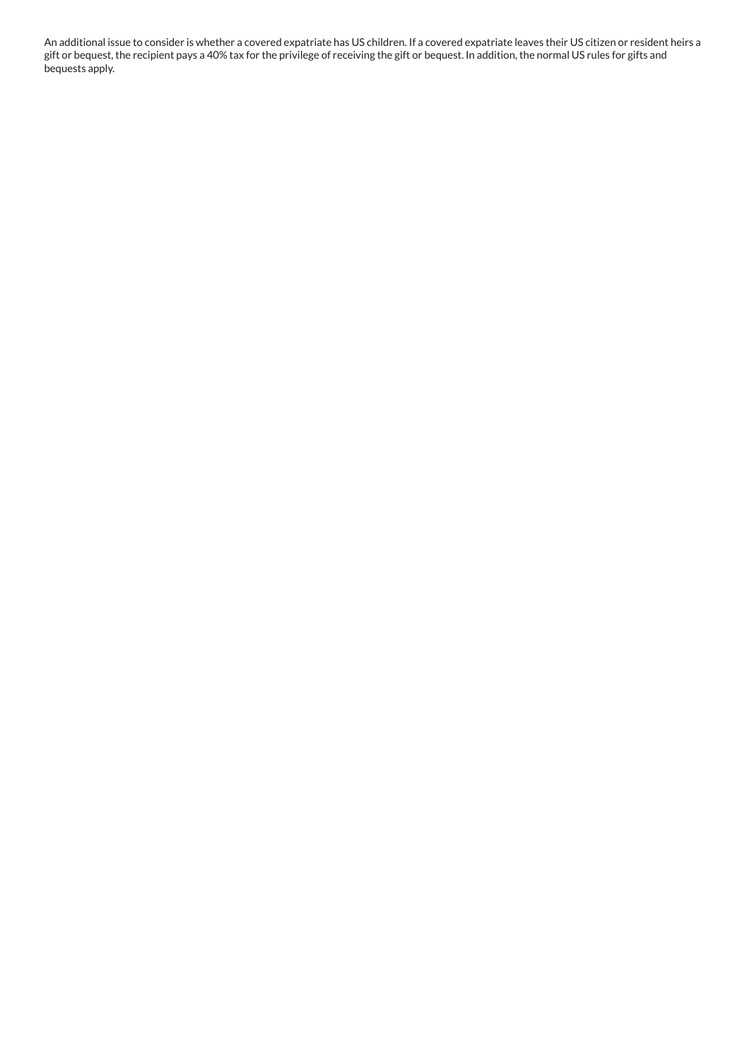An additional issue to consider is whether a covered expatriate has US children. If a covered expatriate leaves their US citizen or resident heirs a gift or bequest, the recipient pays a 40% tax for the privilege of receiving the gift or bequest. In addition, the normal US rules for gifts and bequests apply.